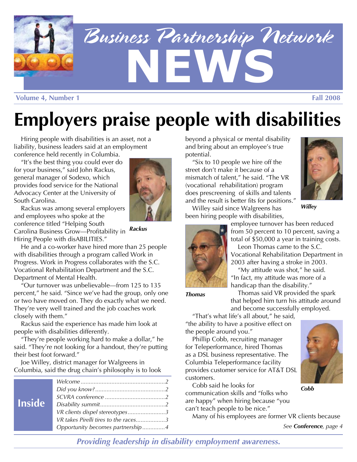

# **Employers praise people with disabilities**

Hiring people with disabilities is an asset, not a liability, business leaders said at an employment conference held recently in Columbia.

"It's the best thing you could ever do for your business," said John Rackus, general manager of Sodexo, which provides food service for the National Advocacy Center at the University of South Carolina.

Rackus was among several employers and employees who spoke at the conference titled "Helping South *Rackus* Carolina Business Grow—Profitability in Hiring People with disABILITIES."

He and a co-worker have hired more than 25 people with disabilities through a program called Work in Progress. Work in Progress collaborates with the S.C. Vocational Rehabilitation Department and the S.C. Department of Mental Health.

"Our turnover was unbelievable—from 125 to 135 percent," he said. "Since we've had the group, only one or two have moved on. They do exactly what we need. They're very well trained and the job coaches work closely with them."

Rackus said the experience has made him look at people with disabilities differently.

"They're people working hard to make a dollar," he said. "They're not looking for a handout, they're putting their best foot forward."

Joe Willey, district manager for Walgreens in Columbia, said the drug chain's philosophy is to look

| <b>Inside</b> |                                      |
|---------------|--------------------------------------|
|               |                                      |
|               |                                      |
|               |                                      |
|               | VR clients dispel stereotypes3       |
|               | VR takes Pirelli tires to the races3 |
|               | Opportunity becomes partnership4     |

beyond a physical or mental disability and bring about an employee's true potential.

"Six to 10 people we hire off the street don't make it because of a mismatch of talent," he said. "The VR (vocational rehabilitation) program does prescreening of skills and talents and the result is better fits for positions."



Willey said since Walgreens has *Willey*  been hiring people with disabilities,



employee turnover has been reduced from 50 percent to 10 percent, saving a total of \$50,000 a year in training costs. Leon Thomas came to the S.C.

Vocational Rehabilitation Department in 2003 after having a stroke in 2003.

"My attitude was shot," he said. "In fact, my attitude was more of a handicap than the disability."

**Thomas Thomas** said VR provided the spark that helped him turn his attitude around and become successfully employed.

"That's what life's all about," he said, "the ability to have a positive effect on the people around you."

Phillip Cobb, recruiting manager for Teleperformance, hired Thomas as a DSL business representative. The Columbia Teleperformance facility provides customer service for AT&T DSL customers.



Many of his employees are former VR clients because

*See Conference, page 4* 

*Providing leadership in disability employment awareness.* 

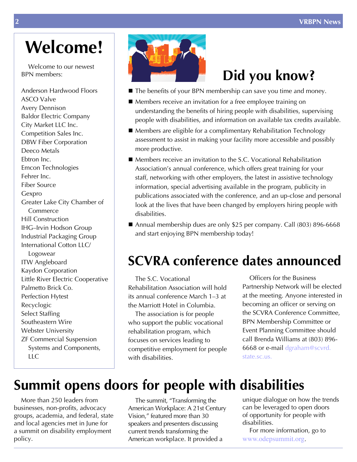### **Welcome!**

Welcome to our newest BPN members:

Anderson Hardwood Floors ASCO Valve Avery Dennison Baldor Electric Company City Market LLC Inc. Competition Sales Inc. DBW Fiber Corporation Deeco Metals Ebtron Inc. Emcon Technologies Fehrer Inc. Fiber Source Gexpro Greater Lake City Chamber of Commerce Hill Construction IHG–Irvin Hodson Group Industrial Packaging Group International Cotton LLC/ Logowear ITW Angleboard Kaydon Corporation Little River Electric Cooperative Palmetto Brick Co. Perfection Hytest Recyclogic Select Staffing Southeastern Wire Webster University ZF Commercial Suspension Systems and Components, LLC



### **Did you know?**

- The benefits of your BPN membership can save you time and money.
- Members receive an invitation for a free employee training on understanding the benefits of hiring people with disabilities, supervising people with disabilities, and information on available tax credits available.
- Members are eligible for a complimentary Rehabilitation Technology assessment to assist in making your facility more accessible and possibly more productive.
- Members receive an invitation to the S.C. Vocational Rehabilitation Association's annual conference, which offers great training for your staff, networking with other employers, the latest in assistive technology information, special advertising available in the program, publicity in publications associated with the conference, and an up-close and personal look at the lives that have been changed by employers hiring people with disabilities.
- Annual membership dues are only \$25 per company. Call (803) 896-6668 and start enjoying BPN membership today!

#### **SCVRA conference dates announced**

The S.C. Vocational Rehabilitation Association will hold its annual conference March 1–3 at the Marriott Hotel in Columbia.

The association is for people who support the public vocational rehabilitation program, which focuses on services leading to competitive employment for people with disabilities.

Officers for the Business Partnership Network will be elected at the meeting. Anyone interested in becoming an officer or serving on the SCVRA Conference Committee, BPN Membership Committee or Event Planning Committee should call Brenda Williams at (803) 896 6668 or e-mail dgraham@scvrd. state.sc.us.

#### **Summit opens doors for people with disabilities**

More than 250 leaders from businesses, non-profits, advocacy groups, academia, and federal, state and local agencies met in June for a summit on disability employment policy.

 Vision," featured more than 30 current trends transforming the The summit, "Transforming the American Workplace: A 21st Century speakers and presenters discussing American workplace. It provided a

unique dialogue on how the trends can be leveraged to open doors of opportunity for people with disabilities.

For more information, go to www.odepsummit.org.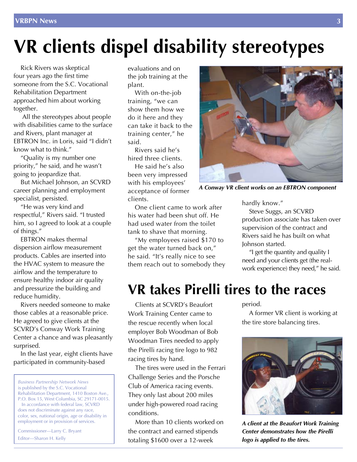## **VR clients dispel disability stereotypes**

Rick Rivers was skeptical four years ago the first time someone from the S.C. Vocational Rehabilitation Department approached him about working together.

All the stereotypes about people with disabilities came to the surface and Rivers, plant manager at EBTRON Inc. in Loris, said "I didn't know what to think."

"Quality is my number one priority," he said, and he wasn't going to jeopardize that.

But Michael Johnson, an SCVRD career planning and employment specialist, persisted.

"He was very kind and respectful," Rivers said. "I trusted him, so I agreed to look at a couple of things."

EBTRON makes thermal dispersion airflow measurement products. Cables are inserted into the HVAC system to measure the airflow and the temperature to ensure healthy indoor air quality and pressurize the building and reduce humidity.

Rivers needed someone to make those cables at a reasonable price. He agreed to give clients at the SCVRD's Conway Work Training Center a chance and was pleasantly surprised.

In the last year, eight clients have participated in community-based

 is published by the S.C. Vocational Rehabilitation Department, 1410 Boston Ave., does not discriminate against any race, *Business Partnership Network News*  P.O. Box 15, West Columbia, SC 29171-0015. In accordance with federal law, SCVRD

 color, sex, national origin, age or disability in employment or in provision of services.

Commissioner—Larry C. Bryant Editor—Sharon H. Kelly

evaluations and on the job training at the plant.

 training, "we can show them how we do it here and they training center," he With on-the-job can take it back to the said.

 Rivers said he's hired three clients.

 He said he's also been very impressed with his employees' acceptance of former clients.

 his water had been shut off. He had used water from the toilet One client came to work after tank to shave that morning.

 "My employees raised \$170 to get the water turned back on," he said. "It's really nice to see them reach out to somebody they



*A Conway VR client works on an EBTRON component* 

hardly know."

Steve Suggs, an SCVRD production associate has taken over supervision of the contract and Rivers said he has built on what Johnson started.

 "I get the quantity and quality I need and your clients get (the realwork experience) they need," he said.

#### **VR takes Pirelli tires to the races**

Clients at SCVRD's Beaufort Work Training Center came to the rescue recently when local employer Bob Woodman of Bob Woodman Tires needed to apply the Pirelli racing tire logo to 982 racing tires by hand.

The tires were used in the Ferrari Challenge Series and the Porsche Club of America racing events. They only last about 200 miles under high-powered road racing conditions.

More than 10 clients worked on the contract and earned stipends totaling \$1600 over a 12-week

period.

A former VR client is working at the tire store balancing tires.



*A client at the Beaufort Work Training Center demonstrates how the Pirelli logo is applied to the tires.*